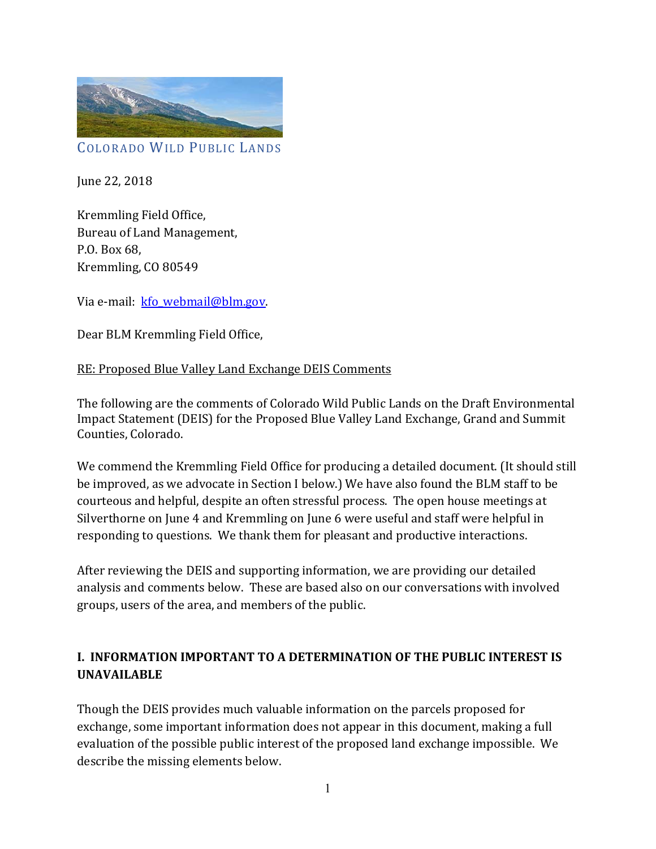

June 22, 2018

Kremmling Field Office, Bureau of Land Management, P.O. Box 68, Kremmling, CO 80549

Via e-mail: kfo\_webmail@blm.gov.

Dear BLM Kremmling Field Office,

#### RE: Proposed Blue Valley Land Exchange DEIS Comments

The following are the comments of Colorado Wild Public Lands on the Draft Environmental Impact Statement (DEIS) for the Proposed Blue Valley Land Exchange, Grand and Summit Counties, Colorado.

We commend the Kremmling Field Office for producing a detailed document. (It should still be improved, as we advocate in Section I below.) We have also found the BLM staff to be courteous and helpful, despite an often stressful process. The open house meetings at Silverthorne on June 4 and Kremmling on June 6 were useful and staff were helpful in responding to questions. We thank them for pleasant and productive interactions.

After reviewing the DEIS and supporting information, we are providing our detailed analysis and comments below. These are based also on our conversations with involved groups, users of the area, and members of the public.

### **I. INFORMATION IMPORTANT TO A DETERMINATION OF THE PUBLIC INTEREST IS UNAVAILABLE**

Though the DEIS provides much valuable information on the parcels proposed for exchange, some important information does not appear in this document, making a full evaluation of the possible public interest of the proposed land exchange impossible. We describe the missing elements below.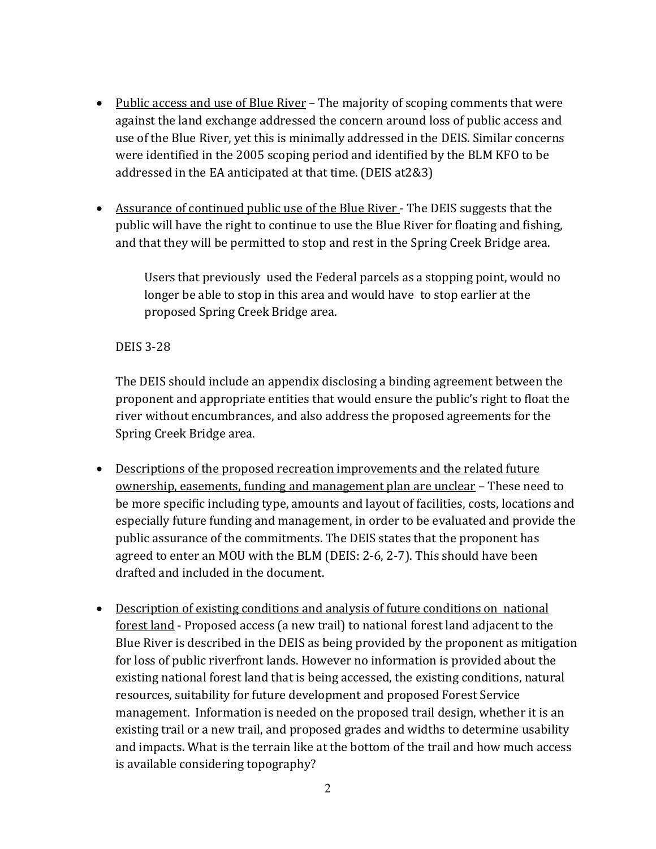- Public access and use of Blue River The majority of scoping comments that were against the land exchange addressed the concern around loss of public access and use of the Blue River, yet this is minimally addressed in the DEIS. Similar concerns were identified in the 2005 scoping period and identified by the BLM KFO to be addressed in the EA anticipated at that time. (DEIS at2&3)
- Assurance of continued public use of the Blue River The DEIS suggests that the public will have the right to continue to use the Blue River for floating and fishing, and that they will be permitted to stop and rest in the Spring Creek Bridge area.

Users that previously used the Federal parcels as a stopping point, would no longer be able to stop in this area and would have to stop earlier at the proposed Spring Creek Bridge area.

### DEIS 3-28

The DEIS should include an appendix disclosing a binding agreement between the proponent and appropriate entities that would ensure the public's right to float the river without encumbrances, and also address the proposed agreements for the Spring Creek Bridge area.

- Descriptions of the proposed recreation improvements and the related future ownership, easements, funding and management plan are unclear – These need to be more specific including type, amounts and layout of facilities, costs, locations and especially future funding and management, in order to be evaluated and provide the public assurance of the commitments. The DEIS states that the proponent has agreed to enter an MOU with the BLM (DEIS: 2-6, 2-7). This should have been drafted and included in the document.
- Description of existing conditions and analysis of future conditions on national forest land - Proposed access (a new trail) to national forest land adjacent to the Blue River is described in the DEIS as being provided by the proponent as mitigation for loss of public riverfront lands. However no information is provided about the existing national forest land that is being accessed, the existing conditions, natural resources, suitability for future development and proposed Forest Service management. Information is needed on the proposed trail design, whether it is an existing trail or a new trail, and proposed grades and widths to determine usability and impacts. What is the terrain like at the bottom of the trail and how much access is available considering topography?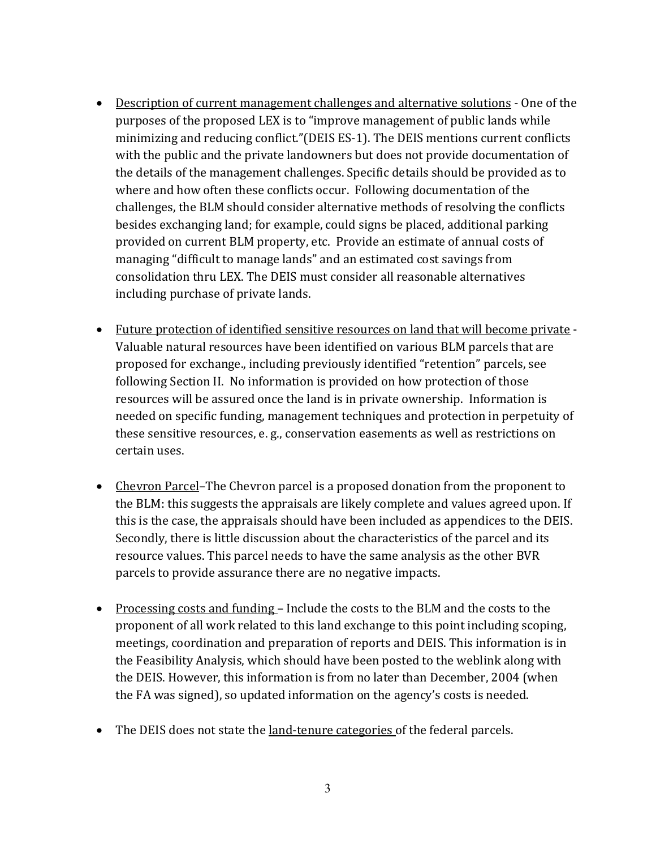- Description of current management challenges and alternative solutions One of the purposes of the proposed LEX is to "improve management of public lands while minimizing and reducing conflict."(DEIS ES-1). The DEIS mentions current conflicts with the public and the private landowners but does not provide documentation of the details of the management challenges. Specific details should be provided as to where and how often these conflicts occur. Following documentation of the challenges, the BLM should consider alternative methods of resolving the conflicts besides exchanging land; for example, could signs be placed, additional parking provided on current BLM property, etc. Provide an estimate of annual costs of managing "difficult to manage lands" and an estimated cost savings from consolidation thru LEX. The DEIS must consider all reasonable alternatives including purchase of private lands.
- Future protection of identified sensitive resources on land that will become private -Valuable natural resources have been identified on various BLM parcels that are proposed for exchange., including previously identified "retention" parcels, see following Section II. No information is provided on how protection of those resources will be assured once the land is in private ownership. Information is needed on specific funding, management techniques and protection in perpetuity of these sensitive resources, e. g., conservation easements as well as restrictions on certain uses.
- Chevron Parcel–The Chevron parcel is a proposed donation from the proponent to the BLM: this suggests the appraisals are likely complete and values agreed upon. If this is the case, the appraisals should have been included as appendices to the DEIS. Secondly, there is little discussion about the characteristics of the parcel and its resource values. This parcel needs to have the same analysis as the other BVR parcels to provide assurance there are no negative impacts.
- Processing costs and funding Include the costs to the BLM and the costs to the proponent of all work related to this land exchange to this point including scoping, meetings, coordination and preparation of reports and DEIS. This information is in the Feasibility Analysis, which should have been posted to the weblink along with the DEIS. However, this information is from no later than December, 2004 (when the FA was signed), so updated information on the agency's costs is needed.
- The DEIS does not state the land-tenure categories of the federal parcels.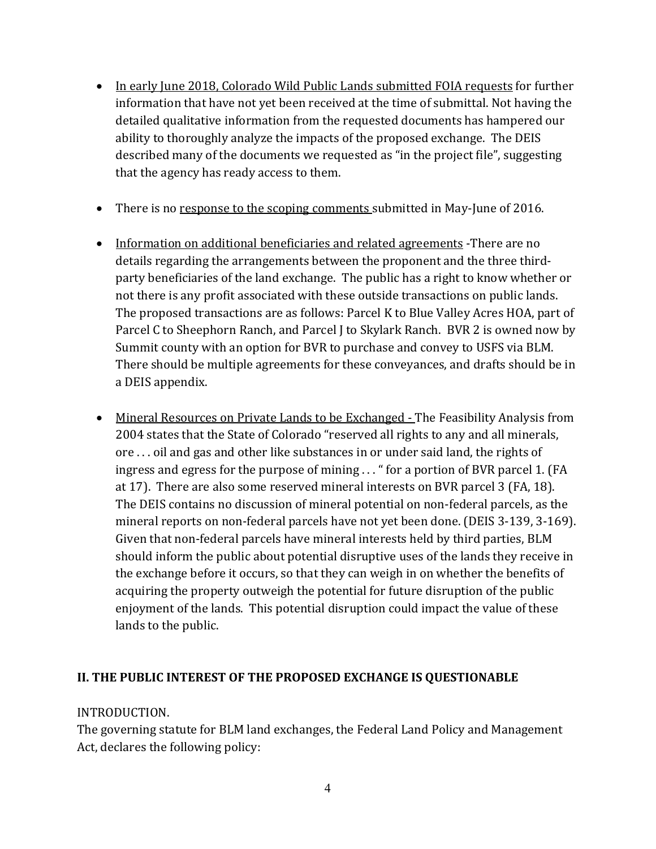- In early June 2018, Colorado Wild Public Lands submitted FOIA requests for further information that have not yet been received at the time of submittal. Not having the detailed qualitative information from the requested documents has hampered our ability to thoroughly analyze the impacts of the proposed exchange. The DEIS described many of the documents we requested as "in the project file", suggesting that the agency has ready access to them.
- There is no response to the scoping comments submitted in May-June of 2016.
- Information on additional beneficiaries and related agreements -There are no details regarding the arrangements between the proponent and the three thirdparty beneficiaries of the land exchange. The public has a right to know whether or not there is any profit associated with these outside transactions on public lands. The proposed transactions are as follows: Parcel K to Blue Valley Acres HOA, part of Parcel C to Sheephorn Ranch, and Parcel J to Skylark Ranch. BVR 2 is owned now by Summit county with an option for BVR to purchase and convey to USFS via BLM. There should be multiple agreements for these conveyances, and drafts should be in a DEIS appendix.
- Mineral Resources on Private Lands to be Exchanged The Feasibility Analysis from 2004 states that the State of Colorado "reserved all rights to any and all minerals, ore . . . oil and gas and other like substances in or under said land, the rights of ingress and egress for the purpose of mining . . . " for a portion of BVR parcel 1. (FA at 17). There are also some reserved mineral interests on BVR parcel 3 (FA, 18). The DEIS contains no discussion of mineral potential on non-federal parcels, as the mineral reports on non-federal parcels have not yet been done. (DEIS 3-139, 3-169). Given that non-federal parcels have mineral interests held by third parties, BLM should inform the public about potential disruptive uses of the lands they receive in the exchange before it occurs, so that they can weigh in on whether the benefits of acquiring the property outweigh the potential for future disruption of the public enjoyment of the lands. This potential disruption could impact the value of these lands to the public.

### **II. THE PUBLIC INTEREST OF THE PROPOSED EXCHANGE IS QUESTIONABLE**

#### INTRODUCTION.

The governing statute for BLM land exchanges, the Federal Land Policy and Management Act, declares the following policy: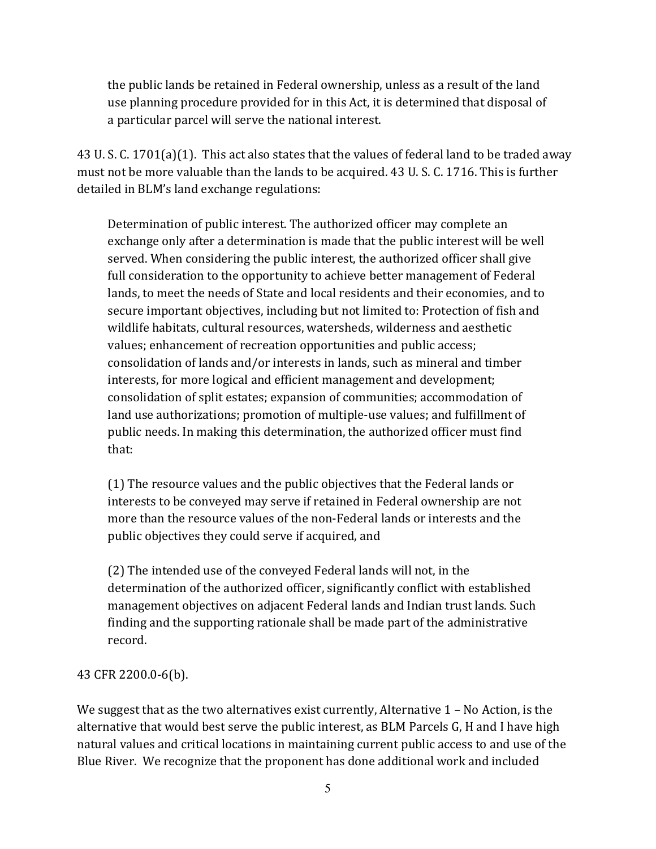the public lands be retained in Federal ownership, unless as a result of the land use planning procedure provided for in this Act, it is determined that disposal of a particular parcel will serve the national interest.

43 U. S. C. 1701(a)(1). This act also states that the values of federal land to be traded away must not be more valuable than the lands to be acquired. 43 U. S. C. 1716. This is further detailed in BLM's land exchange regulations:

Determination of public interest. The authorized officer may complete an exchange only after a determination is made that the public interest will be well served. When considering the public interest, the authorized officer shall give full consideration to the opportunity to achieve better management of Federal lands, to meet the needs of State and local residents and their economies, and to secure important objectives, including but not limited to: Protection of fish and wildlife habitats, cultural resources, watersheds, wilderness and aesthetic values; enhancement of recreation opportunities and public access; consolidation of lands and/or interests in lands, such as mineral and timber interests, for more logical and efficient management and development; consolidation of split estates; expansion of communities; accommodation of land use authorizations; promotion of multiple-use values; and fulfillment of public needs. In making this determination, the authorized officer must find that:

(1) The resource values and the public objectives that the Federal lands or interests to be conveyed may serve if retained in Federal ownership are not more than the resource values of the non-Federal lands or interests and the public objectives they could serve if acquired, and

(2) The intended use of the conveyed Federal lands will not, in the determination of the authorized officer, significantly conflict with established management objectives on adjacent Federal lands and Indian trust lands. Such finding and the supporting rationale shall be made part of the administrative record.

### 43 CFR 2200.0-6(b).

We suggest that as the two alternatives exist currently, Alternative  $1 - No$  Action, is the alternative that would best serve the public interest, as BLM Parcels G, H and I have high natural values and critical locations in maintaining current public access to and use of the Blue River. We recognize that the proponent has done additional work and included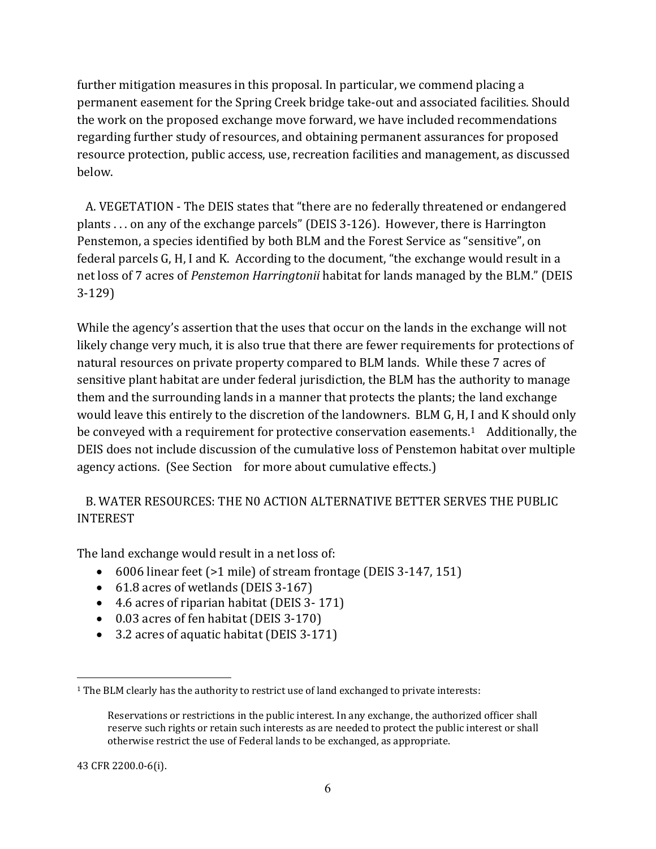further mitigation measures in this proposal. In particular, we commend placing a permanent easement for the Spring Creek bridge take-out and associated facilities. Should the work on the proposed exchange move forward, we have included recommendations regarding further study of resources, and obtaining permanent assurances for proposed resource protection, public access, use, recreation facilities and management, as discussed below.

 A. VEGETATION - The DEIS states that "there are no federally threatened or endangered plants . . . on any of the exchange parcels" (DEIS 3-126). However, there is Harrington Penstemon, a species identified by both BLM and the Forest Service as "sensitive", on federal parcels G, H, I and K. According to the document, "the exchange would result in a net loss of 7 acres of *Penstemon Harringtonii* habitat for lands managed by the BLM." (DEIS 3-129)

While the agency's assertion that the uses that occur on the lands in the exchange will not likely change very much, it is also true that there are fewer requirements for protections of natural resources on private property compared to BLM lands. While these 7 acres of sensitive plant habitat are under federal jurisdiction, the BLM has the authority to manage them and the surrounding lands in a manner that protects the plants; the land exchange would leave this entirely to the discretion of the landowners. BLM G, H, I and K should only be conveyed with a requirement for protective conservation easements.<sup>1</sup> Additionally, the DEIS does not include discussion of the cumulative loss of Penstemon habitat over multiple agency actions. (See Section for more about cumulative effects.)

## B. WATER RESOURCES: THE N0 ACTION ALTERNATIVE BETTER SERVES THE PUBLIC INTEREST

The land exchange would result in a net loss of:

- 6006 linear feet (>1 mile) of stream frontage (DEIS 3-147, 151)
- 61.8 acres of wetlands (DEIS 3-167)
- 4.6 acres of riparian habitat (DEIS 3- 171)
- 0.03 acres of fen habitat (DEIS 3-170)
- 3.2 acres of aquatic habitat (DEIS 3-171)

43 CFR 2200.0-6(i).

 $\overline{a}$ 1 The BLM clearly has the authority to restrict use of land exchanged to private interests:

Reservations or restrictions in the public interest. In any exchange, the authorized officer shall reserve such rights or retain such interests as are needed to protect the public interest or shall otherwise restrict the use of Federal lands to be exchanged, as appropriate.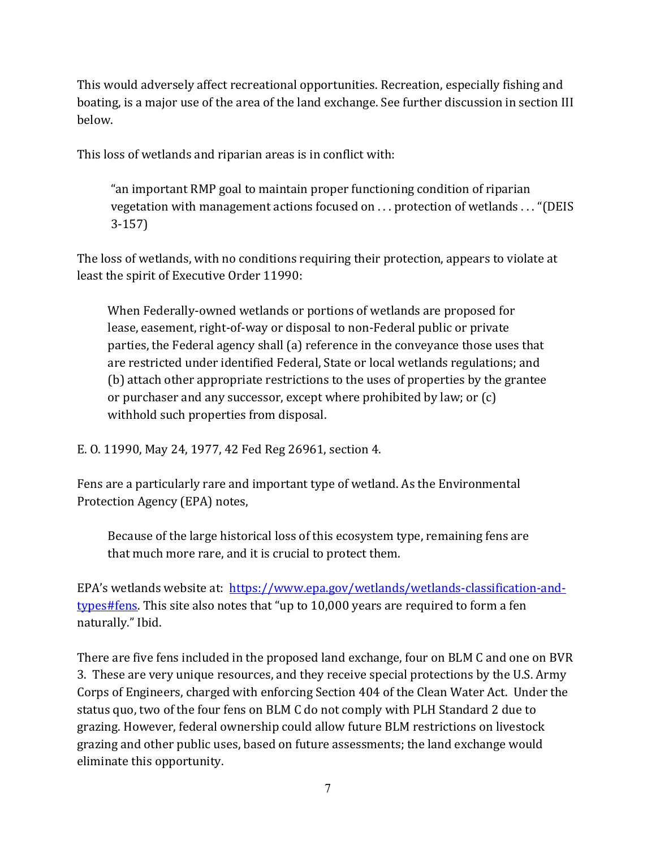This would adversely affect recreational opportunities. Recreation, especially fishing and boating, is a major use of the area of the land exchange. See further discussion in section III below.

This loss of wetlands and riparian areas is in conflict with:

"an important RMP goal to maintain proper functioning condition of riparian vegetation with management actions focused on . . . protection of wetlands . . . "(DEIS 3-157)

The loss of wetlands, with no conditions requiring their protection, appears to violate at least the spirit of Executive Order 11990:

When Federally-owned wetlands or portions of wetlands are proposed for lease, easement, right-of-way or disposal to non-Federal public or private parties, the Federal agency shall (a) reference in the conveyance those uses that are restricted under identified Federal, State or local wetlands regulations; and (b) attach other appropriate restrictions to the uses of properties by the grantee or purchaser and any successor, except where prohibited by law; or (c) withhold such properties from disposal.

E. O. 11990, May 24, 1977, 42 Fed Reg 26961, section 4.

Fens are a particularly rare and important type of wetland. As the Environmental Protection Agency (EPA) notes,

Because of the large historical loss of this ecosystem type, remaining fens are that much more rare, and it is crucial to protect them.

EPA's wetlands website at: https://www.epa.gov/wetlands/wetlands-classification-andtypes#fens. This site also notes that "up to 10,000 years are required to form a fen naturally." Ibid.

There are five fens included in the proposed land exchange, four on BLM C and one on BVR 3. These are very unique resources, and they receive special protections by the U.S. Army Corps of Engineers, charged with enforcing Section 404 of the Clean Water Act. Under the status quo, two of the four fens on BLM C do not comply with PLH Standard 2 due to grazing. However, federal ownership could allow future BLM restrictions on livestock grazing and other public uses, based on future assessments; the land exchange would eliminate this opportunity.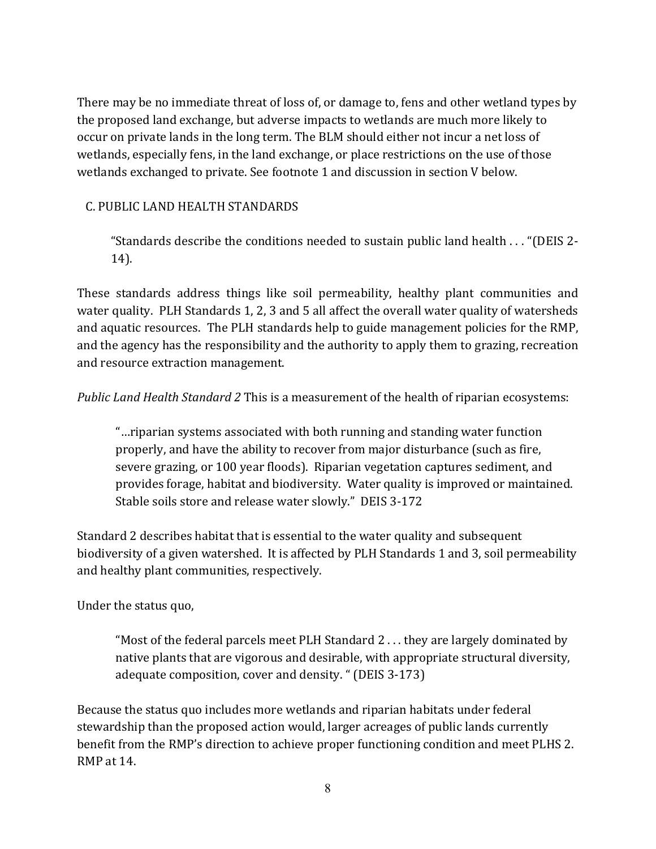There may be no immediate threat of loss of, or damage to, fens and other wetland types by the proposed land exchange, but adverse impacts to wetlands are much more likely to occur on private lands in the long term. The BLM should either not incur a net loss of wetlands, especially fens, in the land exchange, or place restrictions on the use of those wetlands exchanged to private. See footnote 1 and discussion in section V below.

### C. PUBLIC LAND HEALTH STANDARDS

"Standards describe the conditions needed to sustain public land health . . . "(DEIS 2- 14).

These standards address things like soil permeability, healthy plant communities and water quality. PLH Standards 1, 2, 3 and 5 all affect the overall water quality of watersheds and aquatic resources. The PLH standards help to guide management policies for the RMP, and the agency has the responsibility and the authority to apply them to grazing, recreation and resource extraction management.

*Public Land Health Standard 2* This is a measurement of the health of riparian ecosystems:

"…riparian systems associated with both running and standing water function properly, and have the ability to recover from major disturbance (such as fire, severe grazing, or 100 year floods). Riparian vegetation captures sediment, and provides forage, habitat and biodiversity. Water quality is improved or maintained. Stable soils store and release water slowly." DEIS 3-172

Standard 2 describes habitat that is essential to the water quality and subsequent biodiversity of a given watershed. It is affected by PLH Standards 1 and 3, soil permeability and healthy plant communities, respectively.

Under the status quo,

"Most of the federal parcels meet PLH Standard 2 . . . they are largely dominated by native plants that are vigorous and desirable, with appropriate structural diversity, adequate composition, cover and density. " (DEIS 3-173)

Because the status quo includes more wetlands and riparian habitats under federal stewardship than the proposed action would, larger acreages of public lands currently benefit from the RMP's direction to achieve proper functioning condition and meet PLHS 2. RMP at 14.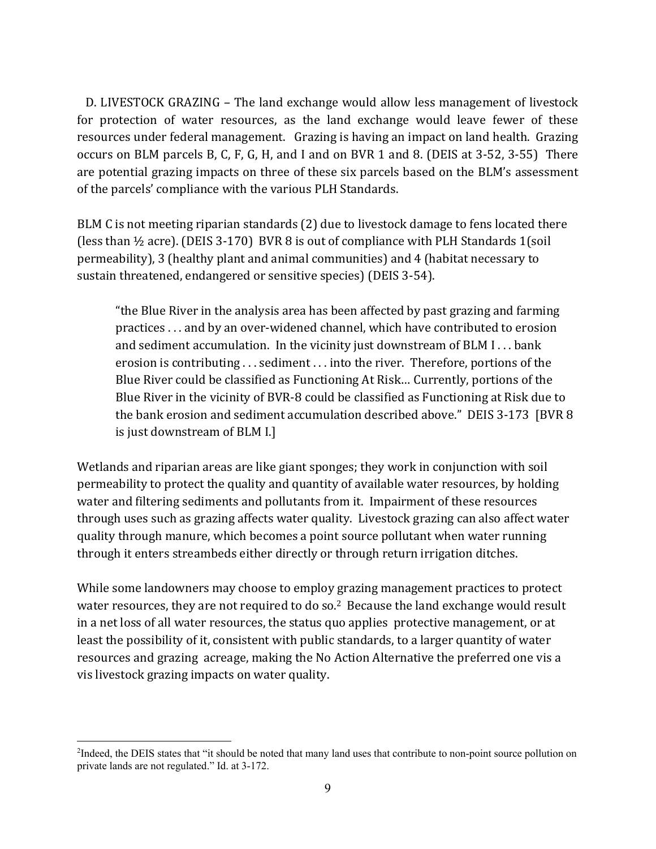D. LIVESTOCK GRAZING *–* The land exchange would allow less management of livestock for protection of water resources, as the land exchange would leave fewer of these resources under federal management. Grazing is having an impact on land health. Grazing occurs on BLM parcels B, C, F, G, H, and I and on BVR 1 and 8. (DEIS at 3-52, 3-55) There are potential grazing impacts on three of these six parcels based on the BLM's assessment of the parcels' compliance with the various PLH Standards.

BLM C is not meeting riparian standards (2) due to livestock damage to fens located there (less than  $\frac{1}{2}$  acre). (DEIS 3-170) BVR 8 is out of compliance with PLH Standards 1(soil permeability), 3 (healthy plant and animal communities) and 4 (habitat necessary to sustain threatened, endangered or sensitive species) (DEIS 3-54).

"the Blue River in the analysis area has been affected by past grazing and farming practices . . . and by an over-widened channel, which have contributed to erosion and sediment accumulation. In the vicinity just downstream of BLM I . . . bank erosion is contributing . . . sediment . . . into the river. Therefore, portions of the Blue River could be classified as Functioning At Risk… Currently, portions of the Blue River in the vicinity of BVR-8 could be classified as Functioning at Risk due to the bank erosion and sediment accumulation described above." DEIS 3-173 [BVR 8 is just downstream of BLM I.]

Wetlands and riparian areas are like giant sponges; they work in conjunction with soil permeability to protect the quality and quantity of available water resources, by holding water and filtering sediments and pollutants from it. Impairment of these resources through uses such as grazing affects water quality. Livestock grazing can also affect water quality through manure, which becomes a point source pollutant when water running through it enters streambeds either directly or through return irrigation ditches.

While some landowners may choose to employ grazing management practices to protect water resources, they are not required to do so.<sup>2</sup> Because the land exchange would result in a net loss of all water resources, the status quo applies protective management, or at least the possibility of it, consistent with public standards, to a larger quantity of water resources and grazing acreage, making the No Action Alternative the preferred one vis a vis livestock grazing impacts on water quality.

 $\overline{a}$ 

<sup>2</sup> Indeed, the DEIS states that "it should be noted that many land uses that contribute to non-point source pollution on private lands are not regulated." Id. at 3-172.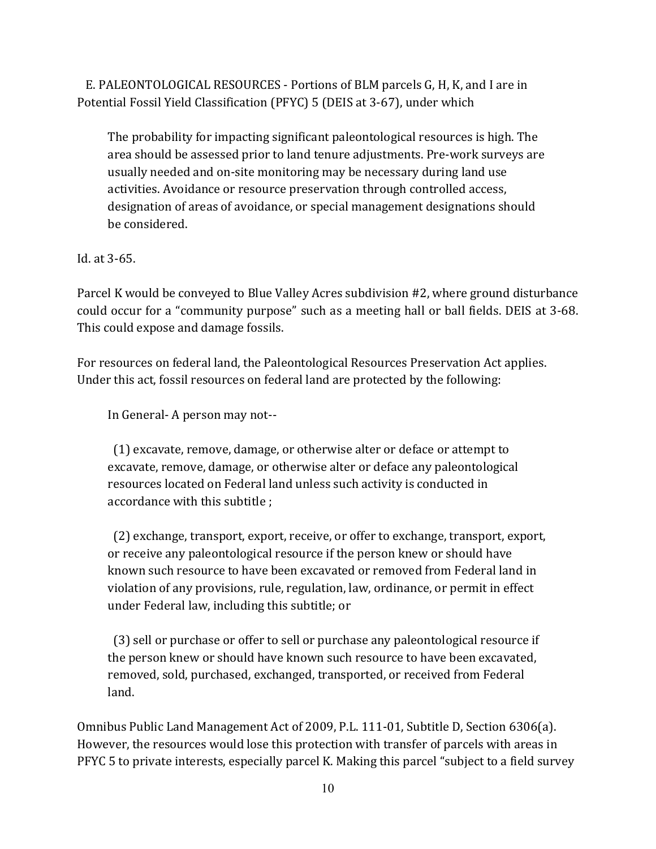E. PALEONTOLOGICAL RESOURCES - Portions of BLM parcels G, H, K, and I are in Potential Fossil Yield Classification (PFYC) 5 (DEIS at 3-67), under which

The probability for impacting significant paleontological resources is high. The area should be assessed prior to land tenure adjustments. Pre-work surveys are usually needed and on-site monitoring may be necessary during land use activities. Avoidance or resource preservation through controlled access, designation of areas of avoidance, or special management designations should be considered.

Id. at 3-65.

Parcel K would be conveyed to Blue Valley Acres subdivision #2, where ground disturbance could occur for a "community purpose" such as a meeting hall or ball fields. DEIS at 3-68. This could expose and damage fossils.

For resources on federal land, the Paleontological Resources Preservation Act applies. Under this act, fossil resources on federal land are protected by the following:

In General- A person may not--

 (1) excavate, remove, damage, or otherwise alter or deface or attempt to excavate, remove, damage, or otherwise alter or deface any paleontological resources located on Federal land unless such activity is conducted in accordance with this subtitle ;

 (2) exchange, transport, export, receive, or offer to exchange, transport, export, or receive any paleontological resource if the person knew or should have known such resource to have been excavated or removed from Federal land in violation of any provisions, rule, regulation, law, ordinance, or permit in effect under Federal law, including this subtitle; or

 (3) sell or purchase or offer to sell or purchase any paleontological resource if the person knew or should have known such resource to have been excavated, removed, sold, purchased, exchanged, transported, or received from Federal land.

Omnibus Public Land Management Act of 2009, P.L. 111-01, Subtitle D, Section 6306(a). However, the resources would lose this protection with transfer of parcels with areas in PFYC 5 to private interests, especially parcel K. Making this parcel "subject to a field survey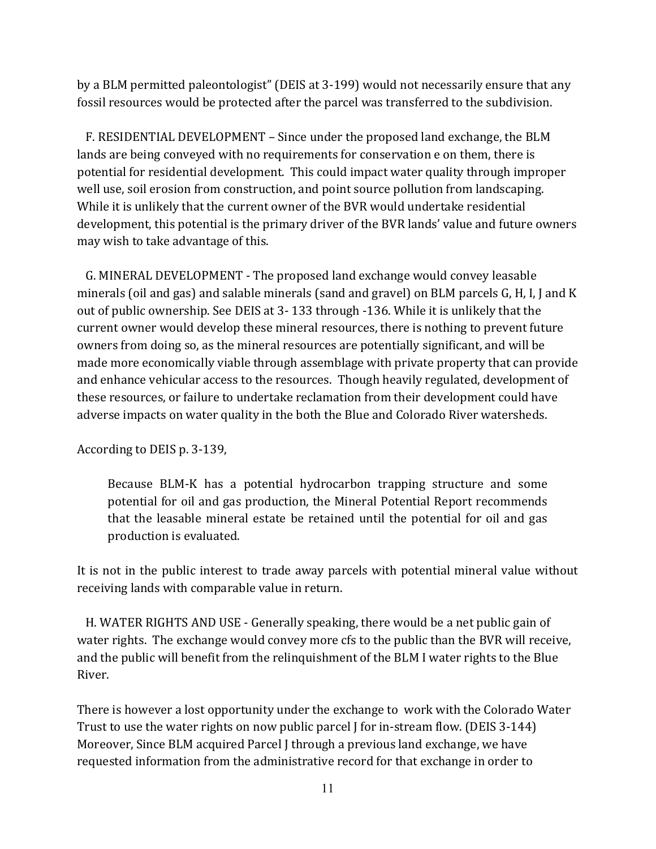by a BLM permitted paleontologist" (DEIS at 3-199) would not necessarily ensure that any fossil resources would be protected after the parcel was transferred to the subdivision.

 F. RESIDENTIAL DEVELOPMENT – Since under the proposed land exchange, the BLM lands are being conveyed with no requirements for conservation e on them, there is potential for residential development. This could impact water quality through improper well use, soil erosion from construction, and point source pollution from landscaping. While it is unlikely that the current owner of the BVR would undertake residential development, this potential is the primary driver of the BVR lands' value and future owners may wish to take advantage of this.

 G. MINERAL DEVELOPMENT - The proposed land exchange would convey leasable minerals (oil and gas) and salable minerals (sand and gravel) on BLM parcels G, H, I, J and K out of public ownership. See DEIS at 3- 133 through -136. While it is unlikely that the current owner would develop these mineral resources, there is nothing to prevent future owners from doing so, as the mineral resources are potentially significant, and will be made more economically viable through assemblage with private property that can provide and enhance vehicular access to the resources. Though heavily regulated, development of these resources, or failure to undertake reclamation from their development could have adverse impacts on water quality in the both the Blue and Colorado River watersheds.

According to DEIS p. 3-139,

Because BLM-K has a potential hydrocarbon trapping structure and some potential for oil and gas production, the Mineral Potential Report recommends that the leasable mineral estate be retained until the potential for oil and gas production is evaluated.

It is not in the public interest to trade away parcels with potential mineral value without receiving lands with comparable value in return.

 H. WATER RIGHTS AND USE - Generally speaking, there would be a net public gain of water rights. The exchange would convey more cfs to the public than the BVR will receive, and the public will benefit from the relinquishment of the BLM I water rights to the Blue River.

There is however a lost opportunity under the exchange to work with the Colorado Water Trust to use the water rights on now public parcel J for in-stream flow. (DEIS 3-144) Moreover, Since BLM acquired Parcel J through a previous land exchange, we have requested information from the administrative record for that exchange in order to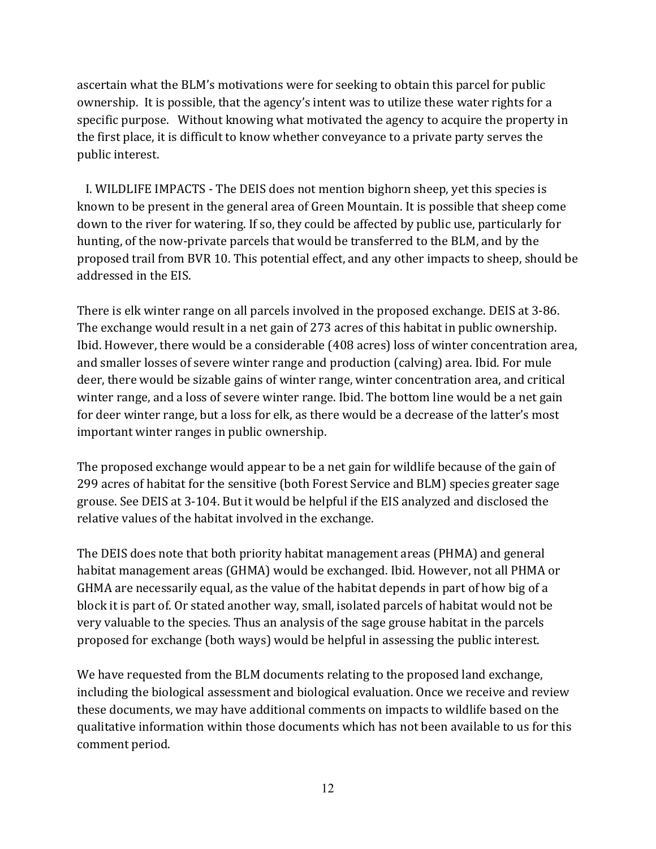ascertain what the BLM's motivations were for seeking to obtain this parcel for public ownership. It is possible, that the agency's intent was to utilize these water rights for a specific purpose. Without knowing what motivated the agency to acquire the property in the first place, it is difficult to know whether conveyance to a private party serves the public interest.

 I. WILDLIFE IMPACTS - The DEIS does not mention bighorn sheep, yet this species is known to be present in the general area of Green Mountain. It is possible that sheep come down to the river for watering. If so, they could be affected by public use, particularly for hunting, of the now-private parcels that would be transferred to the BLM, and by the proposed trail from BVR 10. This potential effect, and any other impacts to sheep, should be addressed in the EIS.

There is elk winter range on all parcels involved in the proposed exchange. DEIS at 3-86. The exchange would result in a net gain of 273 acres of this habitat in public ownership. Ibid. However, there would be a considerable (408 acres) loss of winter concentration area, and smaller losses of severe winter range and production (calving) area. Ibid. For mule deer, there would be sizable gains of winter range, winter concentration area, and critical winter range, and a loss of severe winter range. Ibid. The bottom line would be a net gain for deer winter range, but a loss for elk, as there would be a decrease of the latter's most important winter ranges in public ownership.

The proposed exchange would appear to be a net gain for wildlife because of the gain of 299 acres of habitat for the sensitive (both Forest Service and BLM) species greater sage grouse. See DEIS at 3-104. But it would be helpful if the EIS analyzed and disclosed the relative values of the habitat involved in the exchange.

The DEIS does note that both priority habitat management areas (PHMA) and general habitat management areas (GHMA) would be exchanged. Ibid. However, not all PHMA or GHMA are necessarily equal, as the value of the habitat depends in part of how big of a block it is part of. Or stated another way, small, isolated parcels of habitat would not be very valuable to the species. Thus an analysis of the sage grouse habitat in the parcels proposed for exchange (both ways) would be helpful in assessing the public interest.

We have requested from the BLM documents relating to the proposed land exchange, including the biological assessment and biological evaluation. Once we receive and review these documents, we may have additional comments on impacts to wildlife based on the qualitative information within those documents which has not been available to us for this comment period.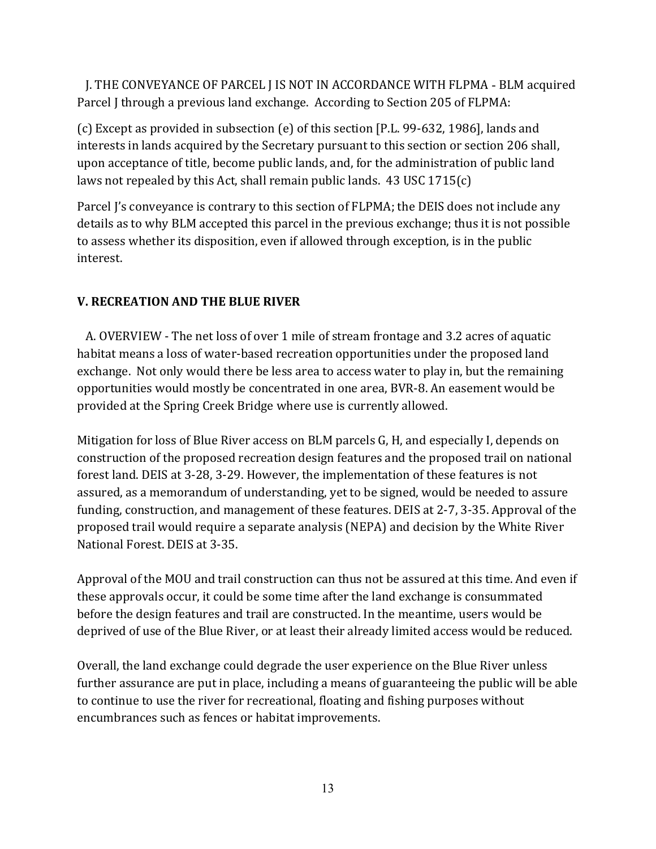J. THE CONVEYANCE OF PARCEL J IS NOT IN ACCORDANCE WITH FLPMA - BLM acquired Parcel J through a previous land exchange. According to Section 205 of FLPMA:

(c) Except as provided in subsection (e) of this section [P.L. 99-632, 1986], lands and interests in lands acquired by the Secretary pursuant to this section or section 206 shall, upon acceptance of title, become public lands, and, for the administration of public land laws not repealed by this Act, shall remain public lands. 43 USC 1715(c)

Parcel J's conveyance is contrary to this section of FLPMA; the DEIS does not include any details as to why BLM accepted this parcel in the previous exchange; thus it is not possible to assess whether its disposition, even if allowed through exception, is in the public interest.

## **V. RECREATION AND THE BLUE RIVER**

 A. OVERVIEW - The net loss of over 1 mile of stream frontage and 3.2 acres of aquatic habitat means a loss of water-based recreation opportunities under the proposed land exchange. Not only would there be less area to access water to play in, but the remaining opportunities would mostly be concentrated in one area, BVR-8. An easement would be provided at the Spring Creek Bridge where use is currently allowed.

Mitigation for loss of Blue River access on BLM parcels G, H, and especially I, depends on construction of the proposed recreation design features and the proposed trail on national forest land. DEIS at 3-28, 3-29. However, the implementation of these features is not assured, as a memorandum of understanding, yet to be signed, would be needed to assure funding, construction, and management of these features. DEIS at 2-7, 3-35. Approval of the proposed trail would require a separate analysis (NEPA) and decision by the White River National Forest. DEIS at 3-35.

Approval of the MOU and trail construction can thus not be assured at this time. And even if these approvals occur, it could be some time after the land exchange is consummated before the design features and trail are constructed. In the meantime, users would be deprived of use of the Blue River, or at least their already limited access would be reduced.

Overall, the land exchange could degrade the user experience on the Blue River unless further assurance are put in place, including a means of guaranteeing the public will be able to continue to use the river for recreational, floating and fishing purposes without encumbrances such as fences or habitat improvements.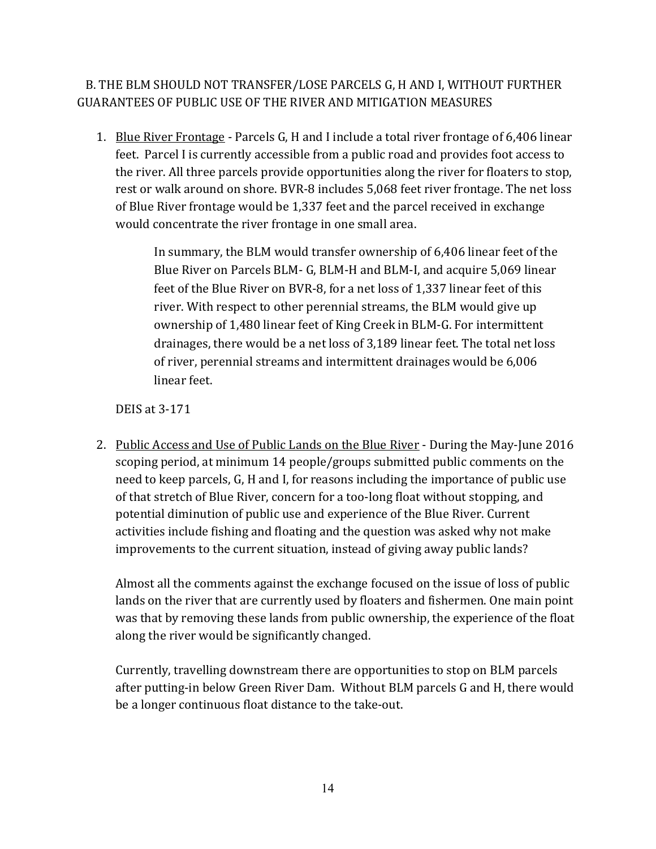B. THE BLM SHOULD NOT TRANSFER/LOSE PARCELS G, H AND I, WITHOUT FURTHER GUARANTEES OF PUBLIC USE OF THE RIVER AND MITIGATION MEASURES

1. Blue River Frontage - Parcels G, H and I include a total river frontage of 6,406 linear feet. Parcel I is currently accessible from a public road and provides foot access to the river. All three parcels provide opportunities along the river for floaters to stop, rest or walk around on shore. BVR-8 includes 5,068 feet river frontage. The net loss of Blue River frontage would be 1,337 feet and the parcel received in exchange would concentrate the river frontage in one small area.

> In summary, the BLM would transfer ownership of 6,406 linear feet of the Blue River on Parcels BLM- G, BLM-H and BLM-I, and acquire 5,069 linear feet of the Blue River on BVR-8, for a net loss of 1,337 linear feet of this river. With respect to other perennial streams, the BLM would give up ownership of 1,480 linear feet of King Creek in BLM-G. For intermittent drainages, there would be a net loss of 3,189 linear feet. The total net loss of river, perennial streams and intermittent drainages would be 6,006 linear feet.

DEIS at 3-171

2. Public Access and Use of Public Lands on the Blue River - During the May-June 2016 scoping period, at minimum 14 people/groups submitted public comments on the need to keep parcels, G, H and I, for reasons including the importance of public use of that stretch of Blue River, concern for a too-long float without stopping, and potential diminution of public use and experience of the Blue River. Current activities include fishing and floating and the question was asked why not make improvements to the current situation, instead of giving away public lands?

Almost all the comments against the exchange focused on the issue of loss of public lands on the river that are currently used by floaters and fishermen. One main point was that by removing these lands from public ownership, the experience of the float along the river would be significantly changed.

Currently, travelling downstream there are opportunities to stop on BLM parcels after putting-in below Green River Dam. Without BLM parcels G and H, there would be a longer continuous float distance to the take-out.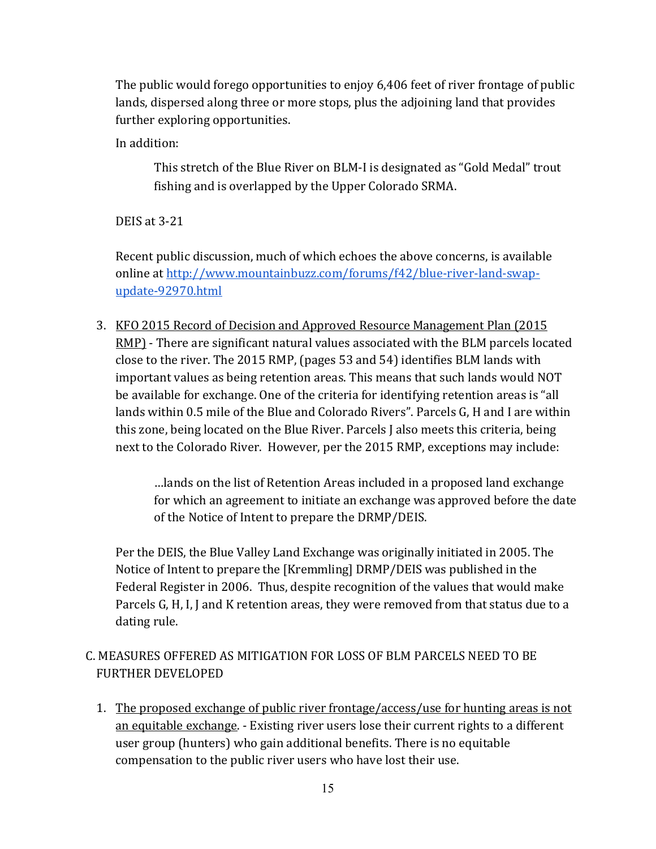The public would forego opportunities to enjoy 6,406 feet of river frontage of public lands, dispersed along three or more stops, plus the adjoining land that provides further exploring opportunities.

In addition:

This stretch of the Blue River on BLM-I is designated as "Gold Medal" trout fishing and is overlapped by the Upper Colorado SRMA.

DEIS at 3-21

Recent public discussion, much of which echoes the above concerns, is available online at http://www.mountainbuzz.com/forums/f42/blue-river-land-swapupdate-92970.html

3. KFO 2015 Record of Decision and Approved Resource Management Plan (2015 RMP) - There are significant natural values associated with the BLM parcels located close to the river. The 2015 RMP, (pages 53 and 54) identifies BLM lands with important values as being retention areas. This means that such lands would NOT be available for exchange. One of the criteria for identifying retention areas is "all lands within 0.5 mile of the Blue and Colorado Rivers". Parcels G, H and I are within this zone, being located on the Blue River. Parcels J also meets this criteria, being next to the Colorado River. However, per the 2015 RMP, exceptions may include:

> …lands on the list of Retention Areas included in a proposed land exchange for which an agreement to initiate an exchange was approved before the date of the Notice of Intent to prepare the DRMP/DEIS.

Per the DEIS, the Blue Valley Land Exchange was originally initiated in 2005. The Notice of Intent to prepare the [Kremmling] DRMP/DEIS was published in the Federal Register in 2006. Thus, despite recognition of the values that would make Parcels G, H, I, J and K retention areas, they were removed from that status due to a dating rule.

## C. MEASURES OFFERED AS MITIGATION FOR LOSS OF BLM PARCELS NEED TO BE FURTHER DEVELOPED

1. The proposed exchange of public river frontage/access/use for hunting areas is not an equitable exchange. - Existing river users lose their current rights to a different user group (hunters) who gain additional benefits. There is no equitable compensation to the public river users who have lost their use.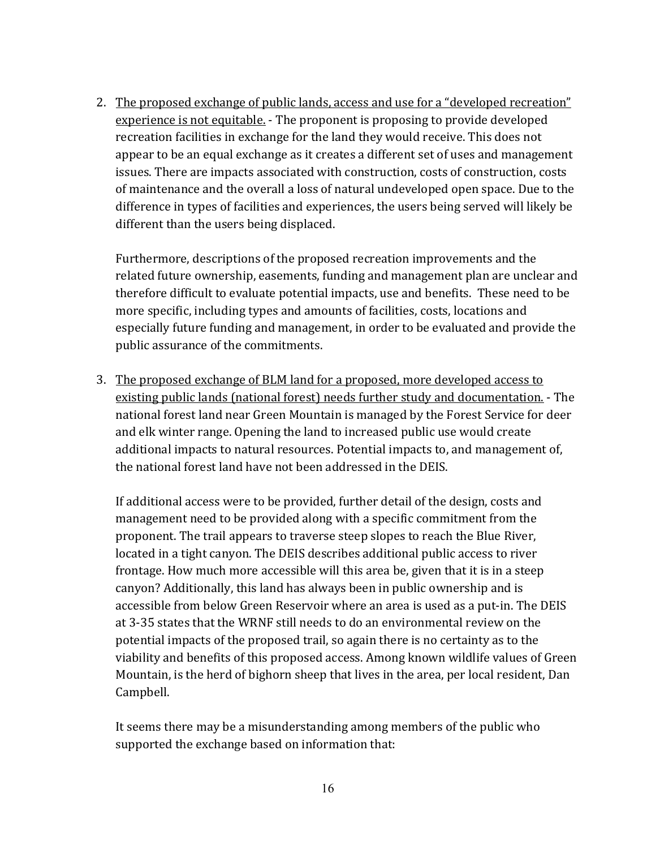2. The proposed exchange of public lands, access and use for a "developed recreation" experience is not equitable. - The proponent is proposing to provide developed recreation facilities in exchange for the land they would receive. This does not appear to be an equal exchange as it creates a different set of uses and management issues. There are impacts associated with construction, costs of construction, costs of maintenance and the overall a loss of natural undeveloped open space. Due to the difference in types of facilities and experiences, the users being served will likely be different than the users being displaced.

Furthermore, descriptions of the proposed recreation improvements and the related future ownership, easements, funding and management plan are unclear and therefore difficult to evaluate potential impacts, use and benefits. These need to be more specific, including types and amounts of facilities, costs, locations and especially future funding and management, in order to be evaluated and provide the public assurance of the commitments.

3. The proposed exchange of BLM land for a proposed, more developed access to existing public lands (national forest) needs further study and documentation. - The national forest land near Green Mountain is managed by the Forest Service for deer and elk winter range. Opening the land to increased public use would create additional impacts to natural resources. Potential impacts to, and management of, the national forest land have not been addressed in the DEIS.

If additional access were to be provided, further detail of the design, costs and management need to be provided along with a specific commitment from the proponent. The trail appears to traverse steep slopes to reach the Blue River, located in a tight canyon. The DEIS describes additional public access to river frontage. How much more accessible will this area be, given that it is in a steep canyon? Additionally, this land has always been in public ownership and is accessible from below Green Reservoir where an area is used as a put-in. The DEIS at 3-35 states that the WRNF still needs to do an environmental review on the potential impacts of the proposed trail, so again there is no certainty as to the viability and benefits of this proposed access. Among known wildlife values of Green Mountain, is the herd of bighorn sheep that lives in the area, per local resident, Dan Campbell.

It seems there may be a misunderstanding among members of the public who supported the exchange based on information that: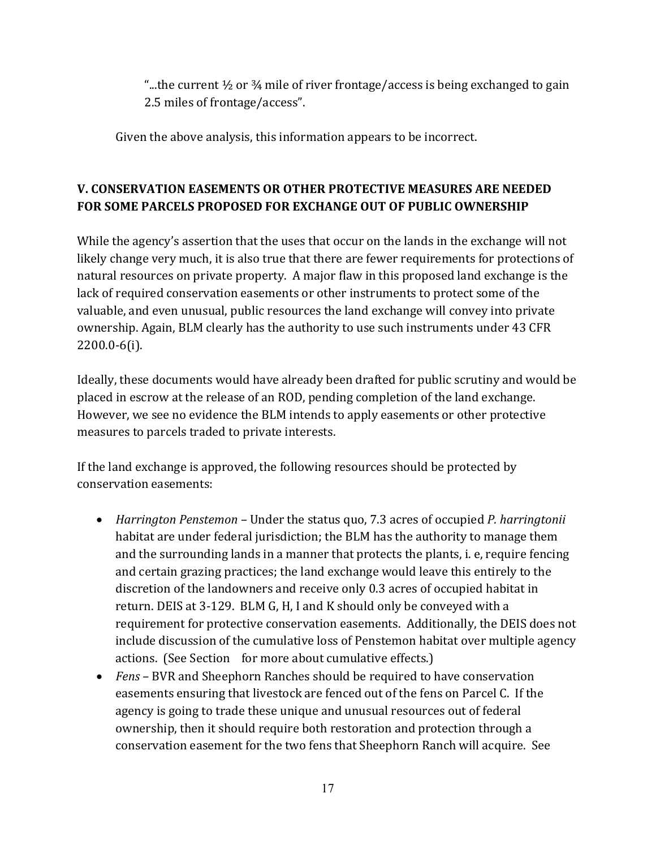"...the current  $\frac{1}{2}$  or  $\frac{3}{4}$  mile of river frontage/access is being exchanged to gain 2.5 miles of frontage/access".

Given the above analysis, this information appears to be incorrect.

# **V. CONSERVATION EASEMENTS OR OTHER PROTECTIVE MEASURES ARE NEEDED FOR SOME PARCELS PROPOSED FOR EXCHANGE OUT OF PUBLIC OWNERSHIP**

While the agency's assertion that the uses that occur on the lands in the exchange will not likely change very much, it is also true that there are fewer requirements for protections of natural resources on private property. A major flaw in this proposed land exchange is the lack of required conservation easements or other instruments to protect some of the valuable, and even unusual, public resources the land exchange will convey into private ownership. Again, BLM clearly has the authority to use such instruments under 43 CFR 2200.0-6(i).

Ideally, these documents would have already been drafted for public scrutiny and would be placed in escrow at the release of an ROD, pending completion of the land exchange. However, we see no evidence the BLM intends to apply easements or other protective measures to parcels traded to private interests.

If the land exchange is approved, the following resources should be protected by conservation easements:

- *Harrington Penstemon –* Under the status quo, 7.3 acres of occupied *P. harringtonii* habitat are under federal jurisdiction; the BLM has the authority to manage them and the surrounding lands in a manner that protects the plants, i. e, require fencing and certain grazing practices; the land exchange would leave this entirely to the discretion of the landowners and receive only 0.3 acres of occupied habitat in return. DEIS at 3-129. BLM G, H, I and K should only be conveyed with a requirement for protective conservation easements. Additionally, the DEIS does not include discussion of the cumulative loss of Penstemon habitat over multiple agency actions. (See Section for more about cumulative effects.)
- *Fens* BVR and Sheephorn Ranches should be required to have conservation easements ensuring that livestock are fenced out of the fens on Parcel C. If the agency is going to trade these unique and unusual resources out of federal ownership, then it should require both restoration and protection through a conservation easement for the two fens that Sheephorn Ranch will acquire. See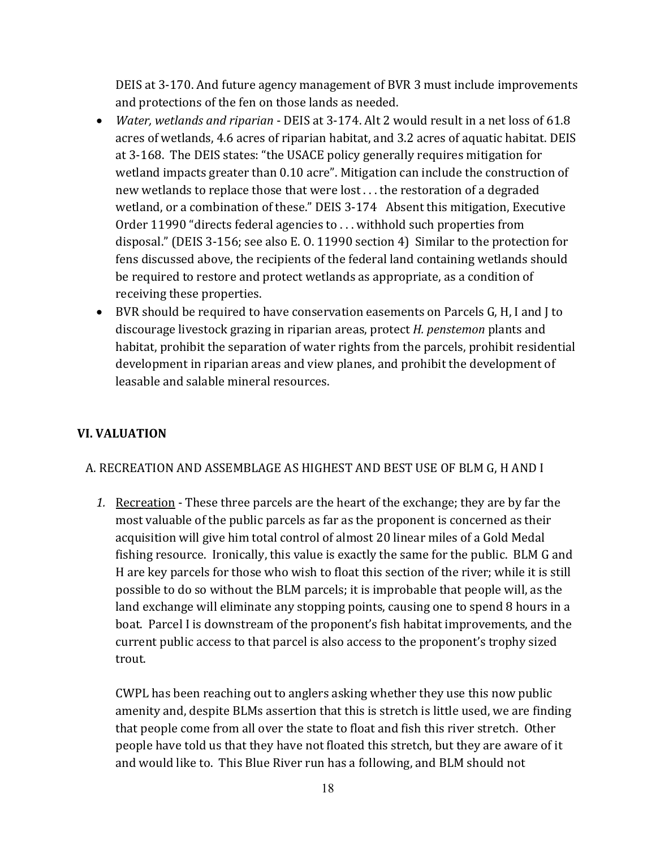DEIS at 3-170. And future agency management of BVR 3 must include improvements and protections of the fen on those lands as needed.

- *Water, wetlands and riparian* DEIS at 3-174. Alt 2 would result in a net loss of 61.8 acres of wetlands, 4.6 acres of riparian habitat, and 3.2 acres of aquatic habitat. DEIS at 3-168. The DEIS states: "the USACE policy generally requires mitigation for wetland impacts greater than 0.10 acre". Mitigation can include the construction of new wetlands to replace those that were lost . . . the restoration of a degraded wetland, or a combination of these." DEIS 3-174 Absent this mitigation, Executive Order 11990 "directs federal agencies to . . . withhold such properties from disposal." (DEIS 3-156; see also E. O. 11990 section 4) Similar to the protection for fens discussed above, the recipients of the federal land containing wetlands should be required to restore and protect wetlands as appropriate, as a condition of receiving these properties.
- BVR should be required to have conservation easements on Parcels G, H, I and J to discourage livestock grazing in riparian areas, protect *H. penstemon* plants and habitat, prohibit the separation of water rights from the parcels, prohibit residential development in riparian areas and view planes, and prohibit the development of leasable and salable mineral resources.

## **VI. VALUATION**

### A. RECREATION AND ASSEMBLAGE AS HIGHEST AND BEST USE OF BLM G, H AND I

*1.* Recreation - These three parcels are the heart of the exchange; they are by far the most valuable of the public parcels as far as the proponent is concerned as their acquisition will give him total control of almost 20 linear miles of a Gold Medal fishing resource. Ironically, this value is exactly the same for the public. BLM G and H are key parcels for those who wish to float this section of the river; while it is still possible to do so without the BLM parcels; it is improbable that people will, as the land exchange will eliminate any stopping points, causing one to spend 8 hours in a boat. Parcel I is downstream of the proponent's fish habitat improvements, and the current public access to that parcel is also access to the proponent's trophy sized trout.

CWPL has been reaching out to anglers asking whether they use this now public amenity and, despite BLMs assertion that this is stretch is little used, we are finding that people come from all over the state to float and fish this river stretch. Other people have told us that they have not floated this stretch, but they are aware of it and would like to. This Blue River run has a following, and BLM should not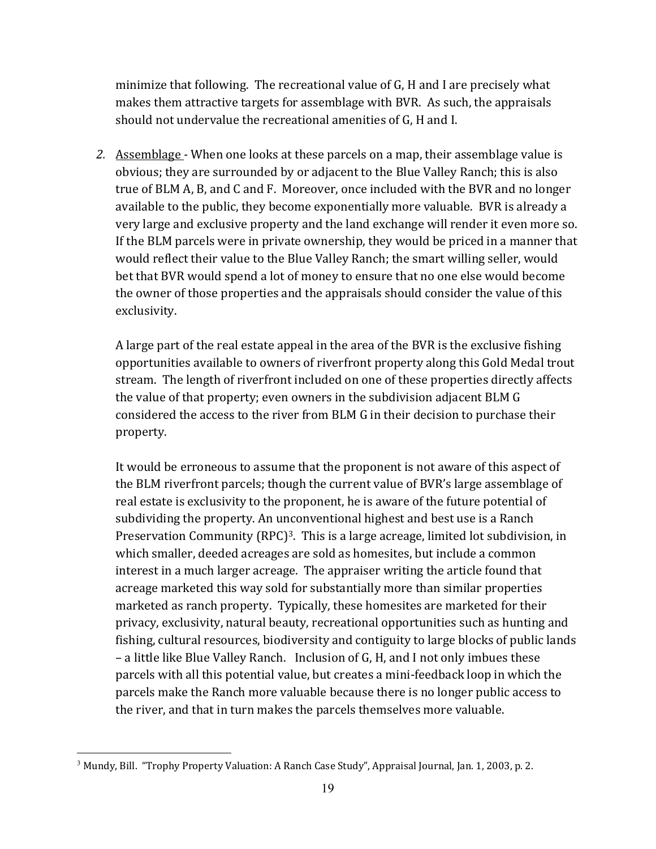minimize that following. The recreational value of G, H and I are precisely what makes them attractive targets for assemblage with BVR. As such, the appraisals should not undervalue the recreational amenities of G, H and I.

2. Assemblage - When one looks at these parcels on a map, their assemblage value is obvious; they are surrounded by or adjacent to the Blue Valley Ranch; this is also true of BLM A, B, and C and F. Moreover, once included with the BVR and no longer available to the public, they become exponentially more valuable. BVR is already a very large and exclusive property and the land exchange will render it even more so. If the BLM parcels were in private ownership, they would be priced in a manner that would reflect their value to the Blue Valley Ranch; the smart willing seller, would bet that BVR would spend a lot of money to ensure that no one else would become the owner of those properties and the appraisals should consider the value of this exclusivity.

A large part of the real estate appeal in the area of the BVR is the exclusive fishing opportunities available to owners of riverfront property along this Gold Medal trout stream. The length of riverfront included on one of these properties directly affects the value of that property; even owners in the subdivision adjacent BLM G considered the access to the river from BLM G in their decision to purchase their property.

It would be erroneous to assume that the proponent is not aware of this aspect of the BLM riverfront parcels; though the current value of BVR's large assemblage of real estate is exclusivity to the proponent, he is aware of the future potential of subdividing the property. An unconventional highest and best use is a Ranch Preservation Community (RPC)<sup>3</sup>. This is a large acreage, limited lot subdivision, in which smaller, deeded acreages are sold as homesites, but include a common interest in a much larger acreage. The appraiser writing the article found that acreage marketed this way sold for substantially more than similar properties marketed as ranch property. Typically, these homesites are marketed for their privacy, exclusivity, natural beauty, recreational opportunities such as hunting and fishing, cultural resources, biodiversity and contiguity to large blocks of public lands – a little like Blue Valley Ranch. Inclusion of G, H, and I not only imbues these parcels with all this potential value, but creates a mini-feedback loop in which the parcels make the Ranch more valuable because there is no longer public access to the river, and that in turn makes the parcels themselves more valuable.

 $\overline{a}$ 

<sup>3</sup> Mundy, Bill. "Trophy Property Valuation: A Ranch Case Study", Appraisal Journal, Jan. 1, 2003, p. 2.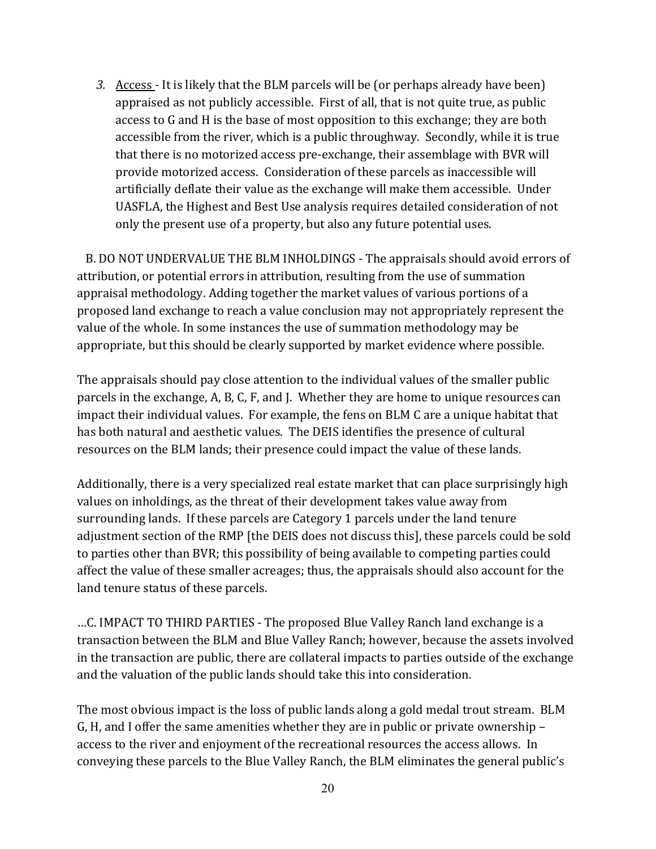3. Access - It is likely that the BLM parcels will be (or perhaps already have been) appraised as not publicly accessible. First of all, that is not quite true, as public access to G and H is the base of most opposition to this exchange; they are both accessible from the river, which is a public throughway. Secondly, while it is true that there is no motorized access pre-exchange, their assemblage with BVR will provide motorized access. Consideration of these parcels as inaccessible will artificially deflate their value as the exchange will make them accessible. Under UASFLA, the Highest and Best Use analysis requires detailed consideration of not only the present use of a property, but also any future potential uses.

 B. DO NOT UNDERVALUE THE BLM INHOLDINGS - The appraisals should avoid errors of attribution, or potential errors in attribution, resulting from the use of summation appraisal methodology. Adding together the market values of various portions of a proposed land exchange to reach a value conclusion may not appropriately represent the value of the whole. In some instances the use of summation methodology may be appropriate, but this should be clearly supported by market evidence where possible.

The appraisals should pay close attention to the individual values of the smaller public parcels in the exchange, A, B, C, F, and J. Whether they are home to unique resources can impact their individual values. For example, the fens on BLM C are a unique habitat that has both natural and aesthetic values. The DEIS identifies the presence of cultural resources on the BLM lands; their presence could impact the value of these lands.

Additionally, there is a very specialized real estate market that can place surprisingly high values on inholdings, as the threat of their development takes value away from surrounding lands. If these parcels are Category 1 parcels under the land tenure adjustment section of the RMP [the DEIS does not discuss this], these parcels could be sold to parties other than BVR; this possibility of being available to competing parties could affect the value of these smaller acreages; thus, the appraisals should also account for the land tenure status of these parcels.

…C. IMPACT TO THIRD PARTIES - The proposed Blue Valley Ranch land exchange is a transaction between the BLM and Blue Valley Ranch; however, because the assets involved in the transaction are public, there are collateral impacts to parties outside of the exchange and the valuation of the public lands should take this into consideration.

The most obvious impact is the loss of public lands along a gold medal trout stream. BLM G, H, and I offer the same amenities whether they are in public or private ownership – access to the river and enjoyment of the recreational resources the access allows. In conveying these parcels to the Blue Valley Ranch, the BLM eliminates the general public's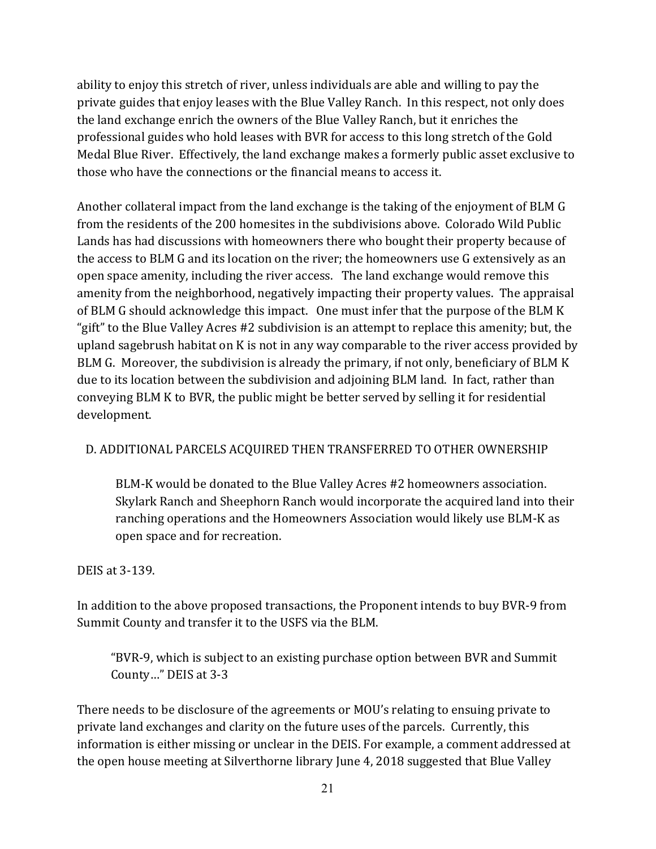ability to enjoy this stretch of river, unless individuals are able and willing to pay the private guides that enjoy leases with the Blue Valley Ranch. In this respect, not only does the land exchange enrich the owners of the Blue Valley Ranch, but it enriches the professional guides who hold leases with BVR for access to this long stretch of the Gold Medal Blue River. Effectively, the land exchange makes a formerly public asset exclusive to those who have the connections or the financial means to access it.

Another collateral impact from the land exchange is the taking of the enjoyment of BLM G from the residents of the 200 homesites in the subdivisions above. Colorado Wild Public Lands has had discussions with homeowners there who bought their property because of the access to BLM G and its location on the river; the homeowners use G extensively as an open space amenity, including the river access. The land exchange would remove this amenity from the neighborhood, negatively impacting their property values. The appraisal of BLM G should acknowledge this impact. One must infer that the purpose of the BLM K "gift" to the Blue Valley Acres #2 subdivision is an attempt to replace this amenity; but, the upland sagebrush habitat on K is not in any way comparable to the river access provided by BLM G. Moreover, the subdivision is already the primary, if not only, beneficiary of BLM K due to its location between the subdivision and adjoining BLM land. In fact, rather than conveying BLM K to BVR, the public might be better served by selling it for residential development.

### D. ADDITIONAL PARCELS ACQUIRED THEN TRANSFERRED TO OTHER OWNERSHIP

BLM-K would be donated to the Blue Valley Acres #2 homeowners association. Skylark Ranch and Sheephorn Ranch would incorporate the acquired land into their ranching operations and the Homeowners Association would likely use BLM-K as open space and for recreation.

### DEIS at 3-139.

In addition to the above proposed transactions, the Proponent intends to buy BVR-9 from Summit County and transfer it to the USFS via the BLM.

"BVR-9, which is subject to an existing purchase option between BVR and Summit County…" DEIS at 3-3

There needs to be disclosure of the agreements or MOU's relating to ensuing private to private land exchanges and clarity on the future uses of the parcels. Currently, this information is either missing or unclear in the DEIS. For example, a comment addressed at the open house meeting at Silverthorne library June 4, 2018 suggested that Blue Valley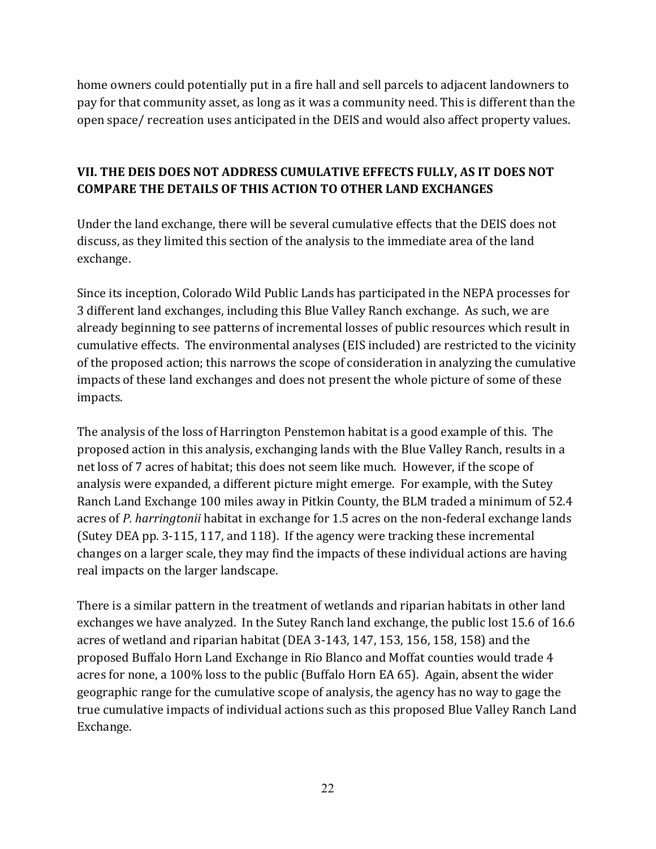home owners could potentially put in a fire hall and sell parcels to adjacent landowners to pay for that community asset, as long as it was a community need. This is different than the open space/ recreation uses anticipated in the DEIS and would also affect property values.

# **VII. THE DEIS DOES NOT ADDRESS CUMULATIVE EFFECTS FULLY, AS IT DOES NOT COMPARE THE DETAILS OF THIS ACTION TO OTHER LAND EXCHANGES**

Under the land exchange, there will be several cumulative effects that the DEIS does not discuss, as they limited this section of the analysis to the immediate area of the land exchange.

Since its inception, Colorado Wild Public Lands has participated in the NEPA processes for 3 different land exchanges, including this Blue Valley Ranch exchange. As such, we are already beginning to see patterns of incremental losses of public resources which result in cumulative effects. The environmental analyses (EIS included) are restricted to the vicinity of the proposed action; this narrows the scope of consideration in analyzing the cumulative impacts of these land exchanges and does not present the whole picture of some of these impacts.

The analysis of the loss of Harrington Penstemon habitat is a good example of this. The proposed action in this analysis, exchanging lands with the Blue Valley Ranch, results in a net loss of 7 acres of habitat; this does not seem like much. However, if the scope of analysis were expanded, a different picture might emerge. For example, with the Sutey Ranch Land Exchange 100 miles away in Pitkin County, the BLM traded a minimum of 52.4 acres of *P. harringtonii* habitat in exchange for 1.5 acres on the non-federal exchange lands (Sutey DEA pp. 3-115, 117, and 118). If the agency were tracking these incremental changes on a larger scale, they may find the impacts of these individual actions are having real impacts on the larger landscape.

There is a similar pattern in the treatment of wetlands and riparian habitats in other land exchanges we have analyzed. In the Sutey Ranch land exchange, the public lost 15.6 of 16.6 acres of wetland and riparian habitat (DEA 3-143, 147, 153, 156, 158, 158) and the proposed Buffalo Horn Land Exchange in Rio Blanco and Moffat counties would trade 4 acres for none, a 100% loss to the public (Buffalo Horn EA 65). Again, absent the wider geographic range for the cumulative scope of analysis, the agency has no way to gage the true cumulative impacts of individual actions such as this proposed Blue Valley Ranch Land Exchange.